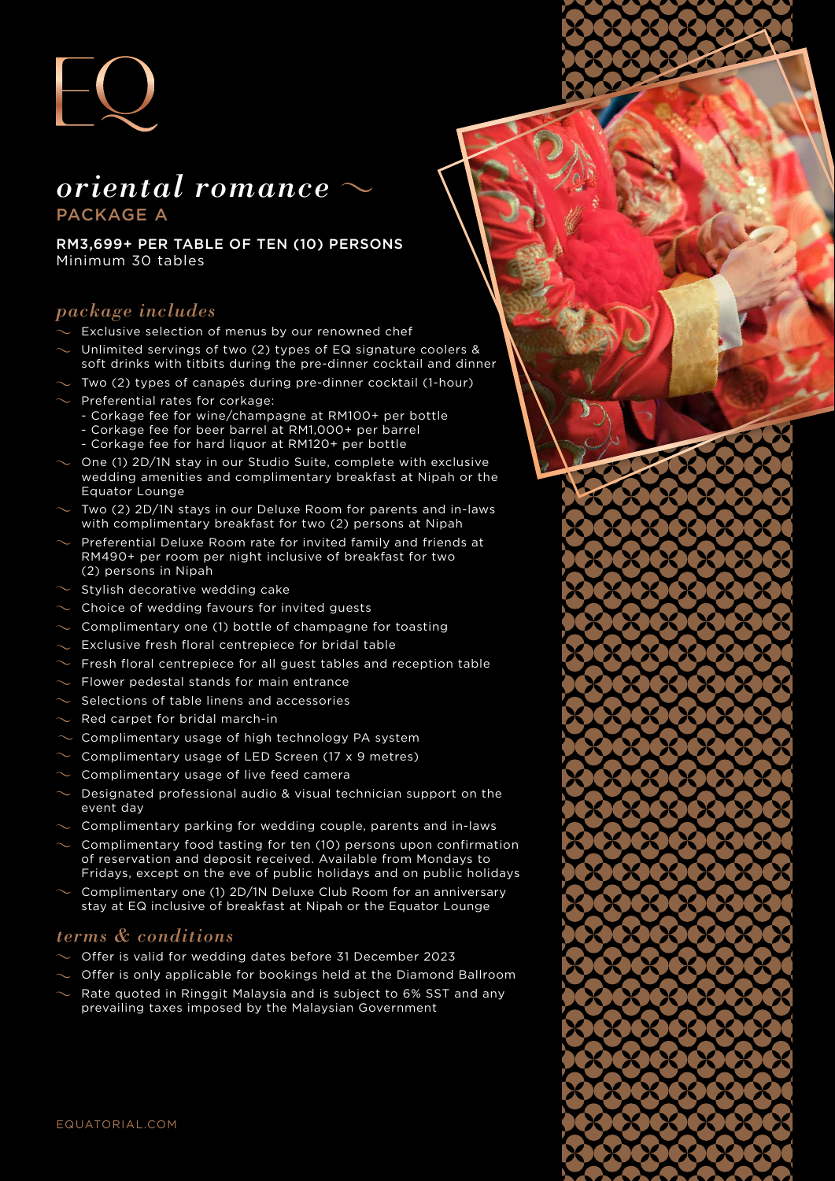

# *oriental romance* PACKAGE A

RM3,699+ PER TABLE OF TEN (10) PERSONS Minimum 30 tables

## *package includes*

- Exclusive selection of menus by our renowned chef
- Unlimited servings of two (2) types of EQ signature coolers & soft drinks with titbits during the pre-dinner cocktail and dinner
- Two (2) types of canapés during pre-dinner cocktail (1-hour)
- Preferential rates for corkage:
	- Corkage fee for wine/champagne at RM100+ per bottle
	- Corkage fee for beer barrel at RM1,000+ per barrel
	- Corkage fee for hard liquor at RM120+ per bottle
- One (1) 2D/1N stay in our Studio Suite, complete with exclusive wedding amenities and complimentary breakfast at Nipah or the Equator Lounge
- Two (2) 2D/1N stays in our Deluxe Room for parents and in-laws with complimentary breakfast for two (2) persons at Nipah
- Preferential Deluxe Room rate for invited family and friends at RM490+ per room per night inclusive of breakfast for two (2) persons in Nipah
- Stylish decorative wedding cake
- Choice of wedding favours for invited guests
- Complimentary one (1) bottle of champagne for toasting
- Exclusive fresh floral centrepiece for bridal table
- $\sim$  Fresh floral centrepiece for all guest tables and reception table
- Flower pedestal stands for main entrance
- Selections of table linens and accessories
- Red carpet for bridal march-in
- Complimentary usage of high technology PA system
- Complimentary usage of LED Screen (17 x 9 metres)
- Complimentary usage of live feed camera
- Designated professional audio & visual technician support on the event day
- Complimentary parking for wedding couple, parents and in-laws
- Complimentary food tasting for ten (10) persons upon confirmation of reservation and deposit received. Available from Mondays to Fridays, except on the eve of public holidays and on public holidays
- Complimentary one (1) 2D/1N Deluxe Club Room for an anniversary stay at EQ inclusive of breakfast at Nipah or the Equator Lounge

#### *terms & conditions*

- Offer is valid for wedding dates before 31 December 2023
- Offer is only applicable for bookings held at the Diamond Ballroom
- Rate quoted in Ringgit Malaysia and is subject to 6% SST and any prevailing taxes imposed by the Malaysian Government